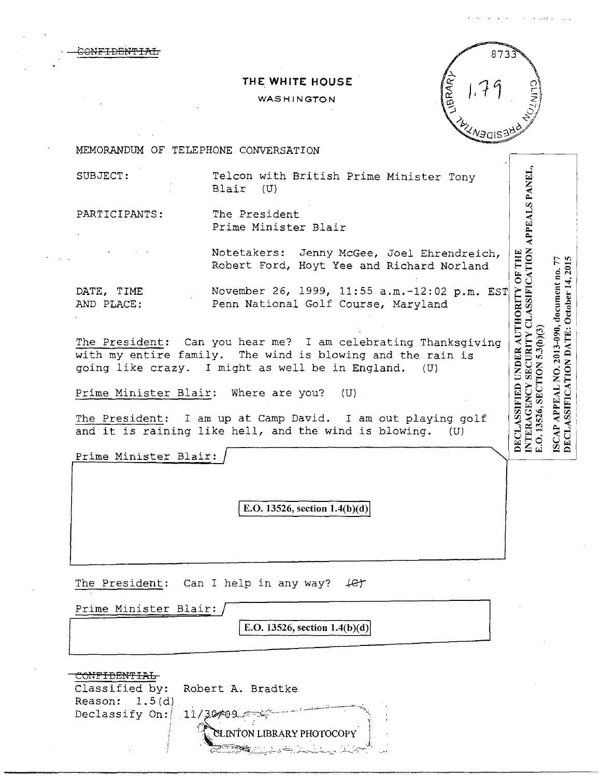..l' H<br>ANE

 $\Xi$ ~

 $\Xi$  $_{\rm PPE}$  $\bar{\mathbf{z}}$ I#8-

 $\frac{0}{T}$ 

**BS** 

 $\begin{array}{c} \Lambda \text{UTH} \ \text{C} \ \text{L} \ \text{V} \ \text{C} \ \text{D} \ (\text{B}) \ \end{array}$ 

VDER<br>!CUR<br>!N 5.3  $\Xi$   $\Xi$   $\Xi$ id undi<br>Y secu  $\mathbb{E}\hat{\mathcal{C}}$ .SSIFII<br>AGEN<br>526, SE **DECLASSIFICATION DATE: October 14, 2015** 

DECLA<br>NTER<br>E.O. 135  $-$ 

 $\bigcirc$ NETDENTI

## **THE WHITE HOUSE**

## WASHINGTON



MEMORANDUM OF TELEPHONE CONVERSATION

SUBJECT: Telcon with British Prime Minister Tony Blair

PARTICIPANTS: The President Prime Minister Blair

> Notetakers: Jenny McGee, Joel Ehrendreich, Robert Ford, Hoyt Yee and Richard Norland

DATE, TIME AND PLACE: November 26, 1999, 11:55 a.m.-12:02 p.m. EST Penn National Golf Course, Maryland

The President: Can you hear me? I am celebrating Thanksgiving with my entire family. The wind is blowing and the rain is going like crazy. I might as well be in England. (U)

Prime Minister Blair: Where are you? (U)

The President: I am up at Camp David. I am out playing golf and it is raining like hell, and the wind is blowing. (U)

Prime Minister Blair:

E.O. 13526, section  $1.4(b)(d)$ 

The President: Can I help in any way?  $\downarrow$   $\epsilon$ 

Prime Minister Blair:

E.O. 13526, section  $1.4(b)(d)$ 

|                  | Classified by: Robert A. Bradtke |
|------------------|----------------------------------|
| Reason: $1.5(d)$ |                                  |
|                  | Declassify On: 11/30409          |
|                  | CLINTON LIBRARY PHOTOCOPY        |
|                  |                                  |
|                  | li <del>c</del>                  |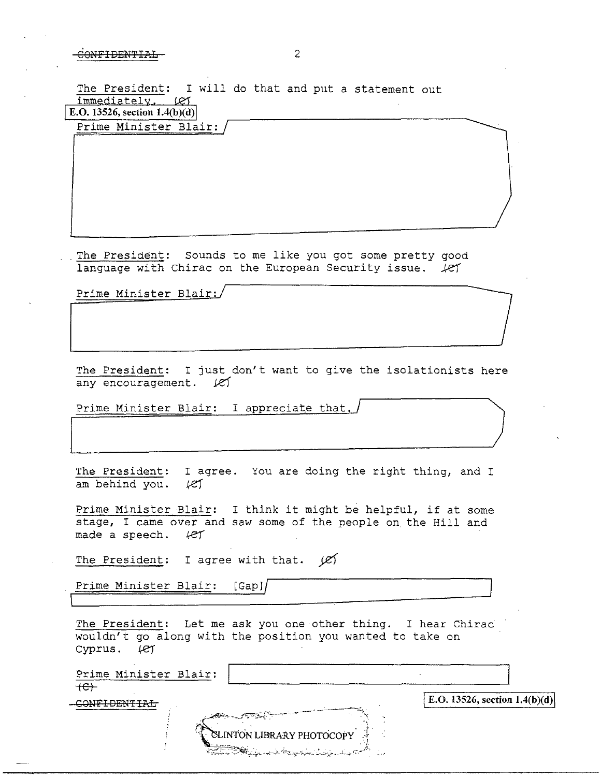The President: I will do that and put a statement out  $immediately, \quad \text{LST}$ E.O. 13526, section  $1.4(b)(d)$ 

Prime Minister Blair:

The President: Sounds to me like you got some pretty good language with Chirac on the European Security issue.  $\mathcal{L}$ 

Prime Minister Blair:

The President: I just don't want to give the isolationists here any encouragement.  $\ell$ 

Prime Minister Blair: I appreciate that.

| The President: I agree. You are doing the right thing, and I |  |  |  |
|--------------------------------------------------------------|--|--|--|
| am behind you. $\ell$                                        |  |  |  |

Prime Minister Blair: I think it might be helpful, if at some stage, I came over and saw some of the people on the Hill and made a speech.  $\ell$ 

The President: I agree with that.  $|Z\rangle$ 

Prime Minister Blair: [Gapl/

The President: Let me ask you one other thing. I hear Chirac wouldn't go along with the position you wanted to take on Cyprus. (et

| Prime Minister Blair:                                                                                                                                                                                                                                                                                                                                                                                                                          |                                 |
|------------------------------------------------------------------------------------------------------------------------------------------------------------------------------------------------------------------------------------------------------------------------------------------------------------------------------------------------------------------------------------------------------------------------------------------------|---------------------------------|
| $+e$                                                                                                                                                                                                                                                                                                                                                                                                                                           | E.O. 13526, section $1.4(b)(d)$ |
| $\mathcal{L}^{(1)} = \mathcal{L}^{(1)} = \mathcal{L}^{(2)} = \mathcal{L}^{(1)} = \mathcal{L}^{(2)} = \mathcal{L}^{(1)} = \mathcal{L}^{(1)} = \mathcal{L}^{(2)} = \mathcal{L}^{(1)} = \mathcal{L}^{(1)} = \mathcal{L}^{(1)} = \mathcal{L}^{(1)} = \mathcal{L}^{(1)} = \mathcal{L}^{(1)} = \mathcal{L}^{(1)} = \mathcal{L}^{(1)} = \mathcal{L}^{(1)} = \mathcal{L}^{(1)} = \mathcal{L}^{(1)} = \mathcal{L}^{(1)} =$<br>CLINTON LIBRARY PHOTOCOPY |                                 |
| <b>CONTROLLANT CONTRACTORY OF THE CONTRACTORY OF THE SECOND CONTRACTORY OF THE SECOND CONTRACTORY OF THE SECOND OF THE SECOND OF THE SECOND OF THE SECOND OF THE SECOND OF THE SECOND OF THE SECOND OF THE SECOND OF THE SECOND </b>                                                                                                                                                                                                           |                                 |